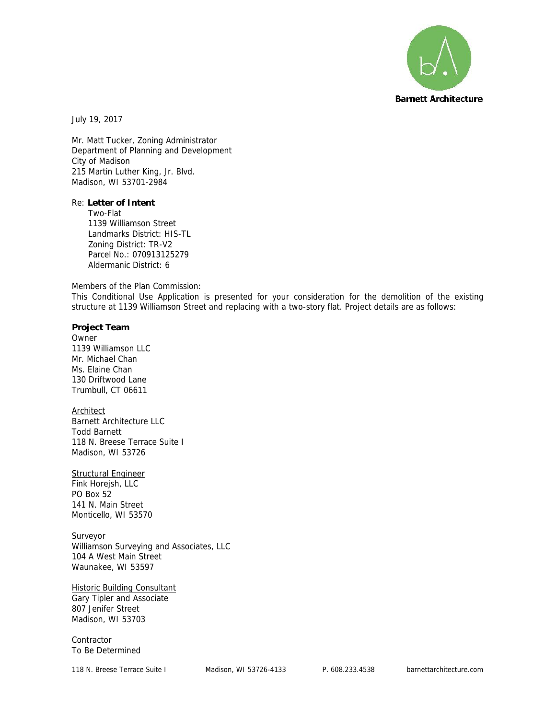

July 19, 2017

Mr. Matt Tucker, Zoning Administrator Department of Planning and Development City of Madison 215 Martin Luther King, Jr. Blvd. Madison, WI 53701-2984

Re: **Letter of Intent** Two-Flat 1139 Williamson Street Landmarks District: HIS-TL Zoning District: TR-V2 Parcel No.: 070913125279 Aldermanic District: 6

Members of the Plan Commission:

This Conditional Use Application is presented for your consideration for the demolition of the existing structure at 1139 Williamson Street and replacing with a two-story flat. Project details are as follows:

**Project Team** Owner 1139 Williamson LLC Mr. Michael Chan Ms. Elaine Chan 130 Driftwood Lane Trumbull, CT 06611

Architect Barnett Architecture LLC Todd Barnett 118 N. Breese Terrace Suite I Madison, WI 53726

Structural Engineer Fink Horejsh, LLC

PO Box 52 141 N. Main Street Monticello, WI 53570

**Surveyor** Williamson Surveying and Associates, LLC 104 A West Main Street Waunakee, WI 53597

**Historic Building Consultant** Gary Tipler and Associate 807 Jenifer Street Madison, WI 53703

**Contractor** To Be Determined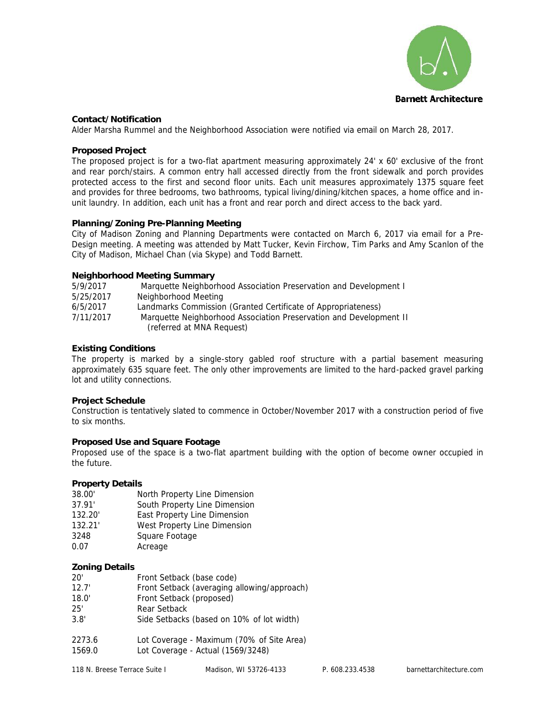

## **Contact/Notification**

Alder Marsha Rummel and the Neighborhood Association were notified via email on March 28, 2017.

### **Proposed Project**

The proposed project is for a two-flat apartment measuring approximately 24' x 60' exclusive of the front and rear porch/stairs. A common entry hall accessed directly from the front sidewalk and porch provides protected access to the first and second floor units. Each unit measures approximately 1375 square feet and provides for three bedrooms, two bathrooms, typical living/dining/kitchen spaces, a home office and in unit laundry. In addition, each unit has a front and rear porch and direct access to the back yard.

## **Planning/Zoning Pre-Planning Meeting**

City of Madison Zoning and Planning Departments were contacted on March 6, 2017 via email for a Pre- Design meeting. A meeting was attended by Matt Tucker, Kevin Firchow, Tim Parks and Amy Scanlon of the City of Madison, Michael Chan (via Skype) and Todd Barnett.

## **Neighborhood Meeting Summary**

| 5/9/2017  | Marquette Neighborhood Association Preservation and Development I  |  |
|-----------|--------------------------------------------------------------------|--|
| 5/25/2017 | Neighborhood Meeting                                               |  |
| 6/5/2017  | Landmarks Commission (Granted Certificate of Appropriateness)      |  |
| 7/11/2017 | Marquette Neighborhood Association Preservation and Development II |  |
|           | (referred at MNA Request)                                          |  |
|           |                                                                    |  |

# **Existing Conditions**

The property is marked by a single-story gabled roof structure with a partial basement measuring approximately 635 square feet. The only other improvements are limited to the hard-packed gravel parking lot and utility connections.

#### **Project Schedule**

Construction is tentatively slated to commence in October/November 2017 with a construction period of five to six months.

# **Proposed Use and Square Footage**

Proposed use of the space is a two-flat apartment building with the option of become owner occupied in the future.

#### **Property Details**

| 38.00'  | North Property Line Dimension |
|---------|-------------------------------|
| 37.91'  | South Property Line Dimension |
| 132.20' | East Property Line Dimension  |
| 132.21' | West Property Line Dimension  |
| 3248    | Square Footage                |

0.07 Acreage

# **Zoning Details**

| 20'    | Front Setback (base code)                   |
|--------|---------------------------------------------|
| 12.7'  | Front Setback (averaging allowing/approach) |
| 18.0'  | Front Setback (proposed)                    |
| 25'    | Rear Setback                                |
| 3.8'   | Side Setbacks (based on 10% of lot width)   |
| 2273.6 | Lot Coverage - Maximum (70% of Site Area)   |
| 1569.0 | Lot Coverage - Actual (1569/3248)           |